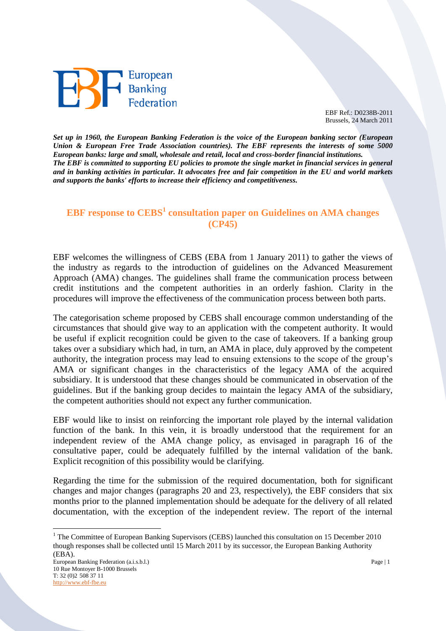

EBF Ref.: D0238B-2011 Brussels, 24 March 2011

*Set up in 1960, the European Banking Federation is the voice of the European banking sector (European Union & European Free Trade Association countries). The EBF represents the interests of some 5000 European banks: large and small, wholesale and retail, local and cross-border financial institutions. The EBF is committed to supporting EU policies to promote the single market in financial services in general and in banking activities in particular. It advocates free and fair competition in the EU and world markets and supports the banks' efforts to increase their efficiency and competitiveness.*

## **EBF response to CEBS<sup>1</sup> consultation paper on Guidelines on AMA changes (CP45)**

EBF welcomes the willingness of CEBS (EBA from 1 January 2011) to gather the views of the industry as regards to the introduction of guidelines on the Advanced Measurement Approach (AMA) changes. The guidelines shall frame the communication process between credit institutions and the competent authorities in an orderly fashion. Clarity in the procedures will improve the effectiveness of the communication process between both parts.

The categorisation scheme proposed by CEBS shall encourage common understanding of the circumstances that should give way to an application with the competent authority. It would be useful if explicit recognition could be given to the case of takeovers. If a banking group takes over a subsidiary which had, in turn, an AMA in place, duly approved by the competent authority, the integration process may lead to ensuing extensions to the scope of the group's AMA or significant changes in the characteristics of the legacy AMA of the acquired subsidiary. It is understood that these changes should be communicated in observation of the guidelines. But if the banking group decides to maintain the legacy AMA of the subsidiary, the competent authorities should not expect any further communication.

EBF would like to insist on reinforcing the important role played by the internal validation function of the bank. In this vein, it is broadly understood that the requirement for an independent review of the AMA change policy, as envisaged in paragraph 16 of the consultative paper, could be adequately fulfilled by the internal validation of the bank. Explicit recognition of this possibility would be clarifying.

Regarding the time for the submission of the required documentation, both for significant changes and major changes (paragraphs 20 and 23, respectively), the EBF considers that six months prior to the planned implementation should be adequate for the delivery of all related documentation, with the exception of the independent review. The report of the internal

 $\overline{a}$ 

<sup>&</sup>lt;sup>1</sup> The Committee of European Banking Supervisors (CEBS) launched this consultation on 15 December 2010 though responses shall be collected until 15 March 2011 by its successor, the European Banking Authority (EBA).